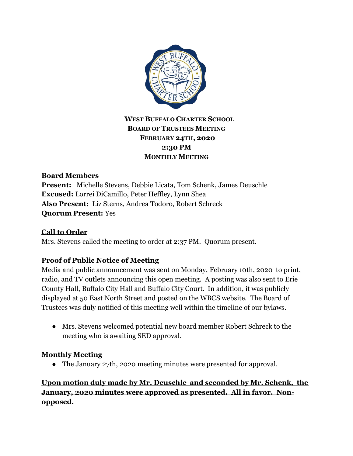

# **WEST BUFFALO CHARTER SCHOOL BOARD OF TRUSTEES MEETING FEBRUARY 24TH, 2020 2:30 PM MONTHLY MEETING**

### **Board Members**

**Present:** Michelle Stevens, Debbie Licata, Tom Schenk, James Deuschle **Excused:** Lorrei DiCamillo, Peter Heffley, Lynn Shea **Also Present:** Liz Sterns, Andrea Todoro, Robert Schreck **Quorum Present:** Yes

#### **Call to Order**

Mrs. Stevens called the meeting to order at 2:37 PM. Quorum present.

### **Proof of Public Notice of Meeting**

Media and public announcement was sent on Monday, February 10th, 2020 to print, radio, and TV outlets announcing this open meeting. A posting was also sent to Erie County Hall, Buffalo City Hall and Buffalo City Court. In addition, it was publicly displayed at 50 East North Street and posted on the WBCS website. The Board of Trustees was duly notified of this meeting well within the timeline of our bylaws.

● Mrs. Stevens welcomed potential new board member Robert Schreck to the meeting who is awaiting SED approval.

### **Monthly Meeting**

• The January 27th, 2020 meeting minutes were presented for approval.

**Upon motion duly made by Mr. Deuschle and seconded by Mr. Schenk, the January, 2020 minutes were approved as presented. All in favor. Nonopposed.**